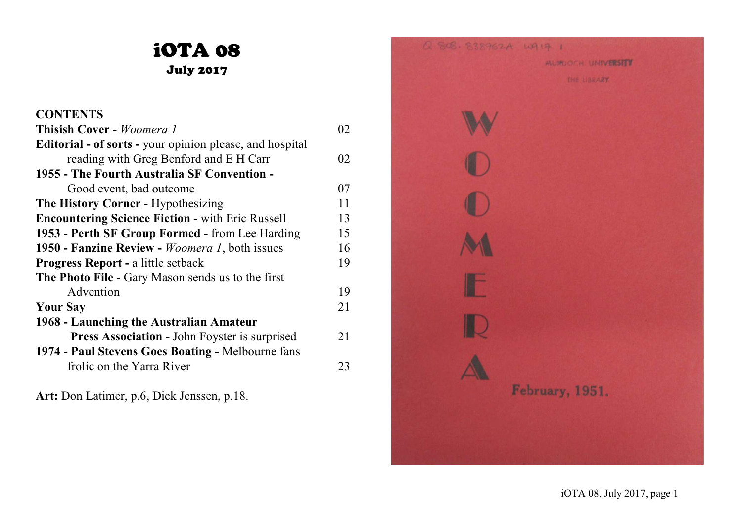## iOTA 08 July 2017

### **CONTENTS Thisish Cover -** *Woomera 1* 02 **Editorial - of sorts -** your opinion please, and hospital reading with Greg Benford and E H Carr 02 **1955 - The Fourth Australia SF Convention -** Good event, bad outcome 07 **The History Corner -** Hypothesizing 11 **Encountering Science Fiction - with Eric Russell 13 1953 - Perth SF Group Formed -** from Lee Harding 15 **1950 - Fanzine Review -** *Woomera 1*, both issues 16 **Progress Report - a little setback 19 The Photo File -** Gary Mason sends us to the first Advention 19 **Your Say** 21 **1968 - Launching the Australian Amateur Press Association - John Foyster is surprised 21 1974 - Paul Stevens Goes Boating -** Melbourne fans frolic on the Yarra River 23

**Art:** Don Latimer, p.6, Dick Jenssen, p.18.

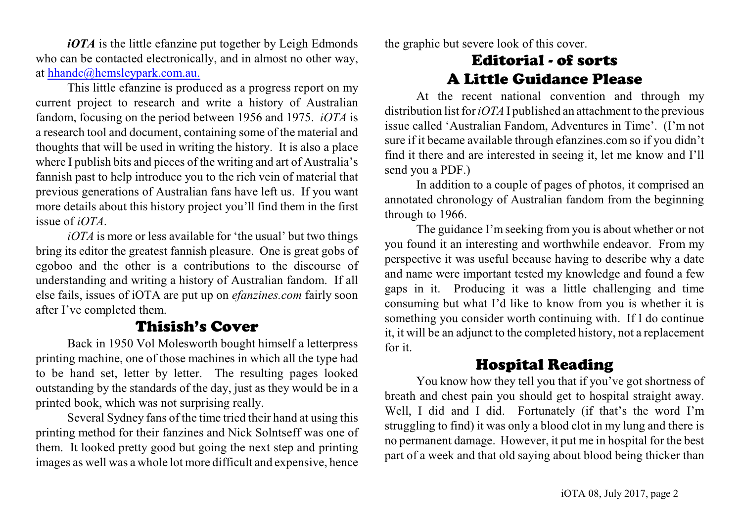*iOTA* is the little efanzine put together by Leigh Edmonds who can be contacted electronically, and in almost no other way, at [hhandc@hemsleypark.com.au.](mailto:hhandc@hemsleypark.com.au.)

This little efanzine is produced as a progress report on my current project to research and write a history of Australian fandom, focusing on the period between 1956 and 1975. *iOTA* is a research tool and document, containing some of the material and thoughts that will be used in writing the history. It is also a place where I publish bits and pieces of the writing and art of Australia's fannish past to help introduce you to the rich vein of material that previous generations of Australian fans have left us. If you want more details about this history project you'll find them in the first issue of *iOTA*.

*iOTA* is more or less available for 'the usual' but two things bring its editor the greatest fannish pleasure. One is great gobs of egoboo and the other is a contributions to the discourse of understanding and writing a history of Australian fandom. If all else fails, issues of iOTA are put up on *efanzines.com* fairly soon after I've completed them.

### Thisish's Cover

Back in 1950 Vol Molesworth bought himself a letterpress printing machine, one of those machines in which all the type had to be hand set, letter by letter. The resulting pages looked outstanding by the standards of the day, just as they would be in a printed book, which was not surprising really.

Several Sydney fans of the time tried their hand at using this printing method for their fanzines and Nick Solntseff was one of them. It looked pretty good but going the next step and printing images as well was a whole lot more difficult and expensive, hence

the graphic but severe look of this cover.

## Editorial - of sorts A Little Guidance Please

At the recent national convention and through my distribution list for  $iOTA$  I published an attachment to the previous issue called 'Australian Fandom, Adventures in Time'. (I'm not sure if it became available through efanzines.com so if you didn't find it there and are interested in seeing it, let me know and I'll send you a PDF.)

In addition to a couple of pages of photos, it comprised an annotated chronology of Australian fandom from the beginning through to 1966.

The guidance I'm seeking from you is about whether or not you found it an interesting and worthwhile endeavor. From my perspective it was useful because having to describe why a date and name were important tested my knowledge and found a few gaps in it. Producing it was a little challenging and time consuming but what I'd like to know from you is whether it is something you consider worth continuing with. If I do continue it, it will be an adjunct to the completed history, not a replacement for it.

# Hospital Reading

You know how they tell you that if you've got shortness of breath and chest pain you should get to hospital straight away. Well, I did and I did. Fortunately (if that's the word I'm struggling to find) it was only a blood clot in my lung and there is no permanent damage. However, it put me in hospital for the best part of a week and that old saying about blood being thicker than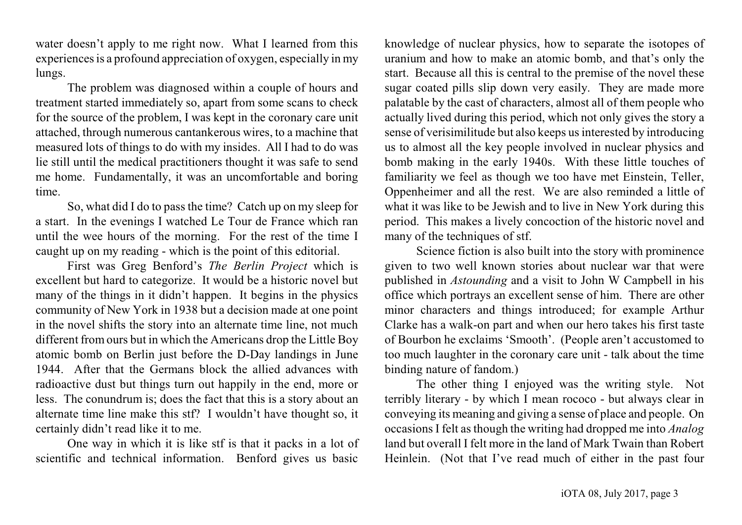water doesn't apply to me right now. What I learned from this experiencesis a profound appreciation of oxygen, especially in my lungs.

The problem was diagnosed within a couple of hours and treatment started immediately so, apart from some scans to check for the source of the problem, I was kept in the coronary care unit attached, through numerous cantankerous wires, to a machine that measured lots of things to do with my insides. All I had to do was lie still until the medical practitioners thought it was safe to send me home. Fundamentally, it was an uncomfortable and boring time.

So, what did I do to pass the time? Catch up on my sleep for a start. In the evenings I watched Le Tour de France which ran until the wee hours of the morning. For the rest of the time I caught up on my reading - which is the point of this editorial.

First was Greg Benford's *The Berlin Project* which is excellent but hard to categorize. It would be a historic novel but many of the things in it didn't happen. It begins in the physics community of New York in 1938 but a decision made at one point in the novel shifts the story into an alternate time line, not much different from ours but in which the Americans drop the Little Boy atomic bomb on Berlin just before the D-Day landings in June 1944. After that the Germans block the allied advances with radioactive dust but things turn out happily in the end, more or less. The conundrum is; does the fact that this is a story about an alternate time line make this stf? I wouldn't have thought so, it certainly didn't read like it to me.

One way in which it is like stf is that it packs in a lot of scientific and technical information. Benford gives us basic

knowledge of nuclear physics, how to separate the isotopes of uranium and how to make an atomic bomb, and that's only the start. Because all this is central to the premise of the novel these sugar coated pills slip down very easily. They are made more palatable by the cast of characters, almost all of them people who actually lived during this period, which not only gives the story a sense of verisimilitude but also keeps usinterested by introducing us to almost all the key people involved in nuclear physics and bomb making in the early 1940s. With these little touches of familiarity we feel as though we too have met Einstein, Teller, Oppenheimer and all the rest. We are also reminded a little of what it was like to be Jewish and to live in New York during this period. This makes a lively concoction of the historic novel and many of the techniques of stf.

Science fiction is also built into the story with prominence given to two well known stories about nuclear war that were published in *Astounding* and a visit to John W Campbell in his office which portrays an excellent sense of him. There are other minor characters and things introduced; for example Arthur Clarke has a walk-on part and when our hero takes his first taste of Bourbon he exclaims 'Smooth'. (People aren't accustomed to too much laughter in the coronary care unit - talk about the time binding nature of fandom.)

The other thing I enjoyed was the writing style. Not terribly literary - by which I mean rococo - but always clear in conveying its meaning and giving a sense of place and people. On occasions I felt as though the writing had dropped me into *Analog* land but overall I felt more in the land of Mark Twain than Robert Heinlein. (Not that I've read much of either in the past four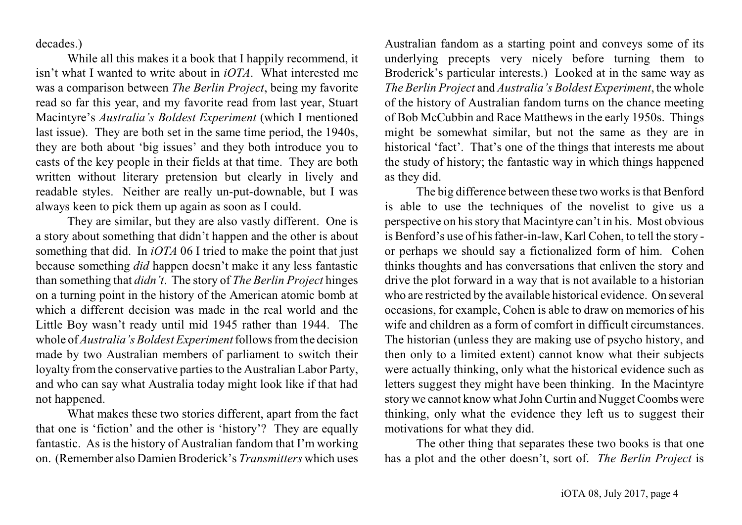#### decades.)

While all this makes it a book that I happily recommend, it isn't what I wanted to write about in *iOTA*. What interested me was a comparison between *The Berlin Project*, being my favorite read so far this year, and my favorite read from last year, Stuart Macintyre's *Australia's Boldest Experiment* (which I mentioned last issue). They are both set in the same time period, the 1940s, they are both about 'big issues' and they both introduce you to casts of the key people in their fields at that time. They are both written without literary pretension but clearly in lively and readable styles. Neither are really un-put-downable, but I was always keen to pick them up again as soon as I could.

They are similar, but they are also vastly different. One is a story about something that didn't happen and the other is about something that did. In *iOTA* 06 I tried to make the point that just because something *did* happen doesn't make it any less fantastic than something that *didn't*. The story of *The Berlin Project* hinges on a turning point in the history of the American atomic bomb at which a different decision was made in the real world and the Little Boy wasn't ready until mid 1945 rather than 1944. The whole of *Australia's Boldest Experiment* follows from the decision made by two Australian members of parliament to switch their loyalty from the conservative parties to the Australian Labor Party, and who can say what Australia today might look like if that had not happened.

What makes these two stories different, apart from the fact that one is 'fiction' and the other is 'history'? They are equally fantastic. As is the history of Australian fandom that I'm working on. (Remember also Damien Broderick's *Transmitters* which uses

Australian fandom as a starting point and conveys some of its underlying precepts very nicely before turning them to Broderick's particular interests.) Looked at in the same way as *The Berlin Project* and *Australia's Boldest Experiment*, the whole of the history of Australian fandom turns on the chance meeting of Bob McCubbin and Race Matthews in the early 1950s. Things might be somewhat similar, but not the same as they are in historical 'fact'. That's one of the things that interests me about the study of history; the fantastic way in which things happened as they did.

The big difference between these two works is that Benford is able to use the techniques of the novelist to give us a perspective on hisstory that Macintyre can't in his. Most obvious is Benford's use of his father-in-law, Karl Cohen, to tell the story or perhaps we should say a fictionalized form of him. Cohen thinks thoughts and has conversations that enliven the story and drive the plot forward in a way that is not available to a historian who are restricted by the available historical evidence. On several occasions, for example, Cohen is able to draw on memories of his wife and children as a form of comfort in difficult circumstances. The historian (unless they are making use of psycho history, and then only to a limited extent) cannot know what their subjects were actually thinking, only what the historical evidence such as letters suggest they might have been thinking. In the Macintyre story we cannot know what John Curtin and Nugget Coombs were thinking, only what the evidence they left us to suggest their motivations for what they did.

The other thing that separates these two books is that one has a plot and the other doesn't, sort of. *The Berlin Project* is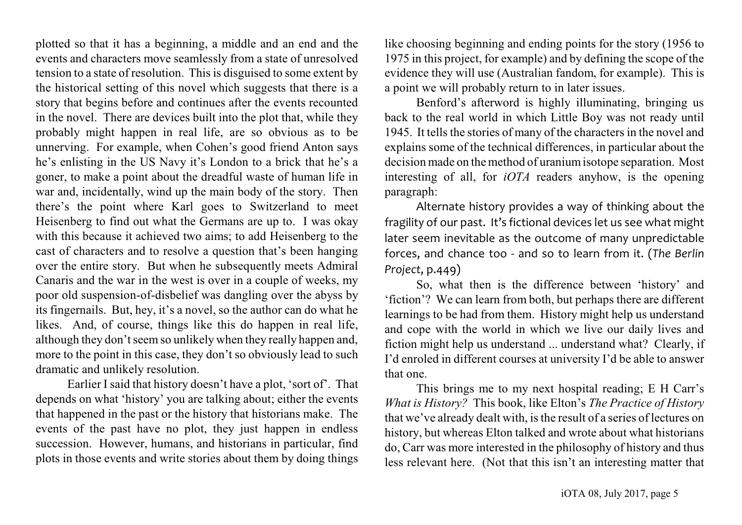plotted so that it has a beginning, a middle and an end and the events and characters move seamlessly from a state of unresolved tension to a state of resolution. This is disguised to some extent by the historical setting of this novel which suggests that there is a story that begins before and continues after the events recounted in the novel. There are devices built into the plot that, while they probably might happen in real life, are so obvious as to be unnerving. For example, when Cohen's good friend Anton says he's enlisting in the US Navy it's London to a brick that he's a goner, to make a point about the dreadful waste of human life in war and, incidentally, wind up the main body of the story. Then there's the point where Karl goes to Switzerland to meet Heisenberg to find out what the Germans are up to. I was okay with this because it achieved two aims; to add Heisenberg to the cast of characters and to resolve a question that's been hanging over the entire story. But when he subsequently meets Admiral Canaris and the war in the west is over in a couple of weeks, my poor old suspension-of-disbelief was dangling over the abyss by its fingernails. But, hey, it's a novel, so the author can do what he likes. And, of course, things like this do happen in real life, although they don't seem so unlikely when they really happen and, more to the point in this case, they don't so obviously lead to such dramatic and unlikely resolution.

Earlier I said that history doesn't have a plot, 'sort of'. That depends on what 'history' you are talking about; either the events that happened in the past or the history that historians make. The events of the past have no plot, they just happen in endless succession. However, humans, and historians in particular, find plots in those events and write stories about them by doing things

like choosing beginning and ending points for the story (1956 to 1975 in this project, for example) and by defining the scope of the evidence they will use (Australian fandom, for example). This is a point we will probably return to in later issues.

Benford's afterword is highly illuminating, bringing us back to the real world in which Little Boy was not ready until 1945. It tells the stories of many of the characters in the novel and explains some of the technical differences, in particular about the decision made on the method of uraniumisotope separation. Most interesting of all, for *iOTA* readers anyhow, is the opening paragraph:

Alternate history provides a way of thinking about the fragility of our past. It's fictional devices let us see what might later seem inevitable as the outcome of many unpredictable forces, and chance too - and so to learn from it. (*The Berlin Project*, p.449)

So, what then is the difference between 'history' and 'fiction'? We can learn from both, but perhaps there are different learnings to be had from them. History might help us understand and cope with the world in which we live our daily lives and fiction might help us understand ... understand what? Clearly, if I'd enroled in different courses at university I'd be able to answer that one.

This brings me to my next hospital reading; E H Carr's *What is History?* This book, like Elton's *The Practice of History* that we've already dealt with, is the result of a series of lectures on history, but whereas Elton talked and wrote about what historians do, Carr was more interested in the philosophy of history and thus less relevant here. (Not that this isn't an interesting matter that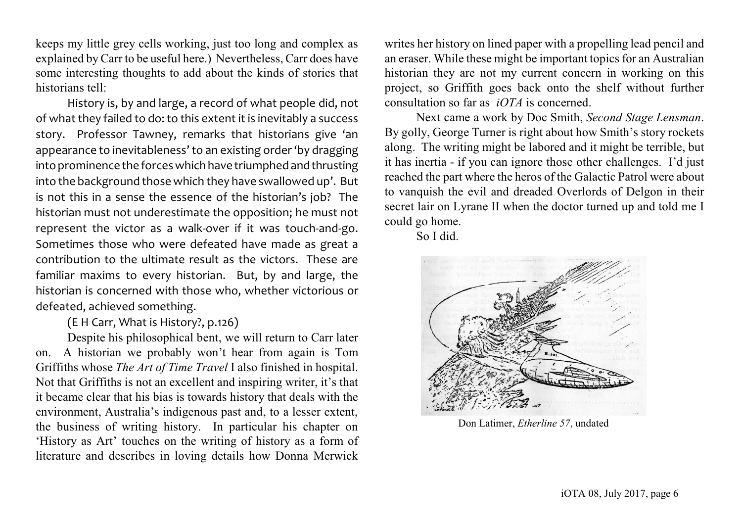keeps my little grey cells working, just too long and complex as explained by Carr to be useful here.) Nevertheless, Carr does have some interesting thoughts to add about the kinds of stories that historians tell:

History is, by and large, a record of what people did, not of what they failed to do: to this extent it is inevitably a success story. Professor Tawney, remarks that historians give 'an appearance to inevitableness' to an existing order 'by dragging into prominence the forces which have triumphed and thrusting into the background those which they have swallowed up'. But is not this in a sense the essence of the historian's job? The historian must not underestimate the opposition; he must not represent the victor as a walk-over if it was touch-and-go. Sometimes those who were defeated have made as great a contribution to the ultimate result as the victors. These are familiar maxims to every historian. But, by and large, the historian is concerned with those who, whether victorious or defeated, achieved something.

(E H Carr, What is History?, p.126)

Despite his philosophical bent, we will return to Carr later on. A historian we probably won't hear from again is Tom Griffiths whose *The Art of Time Travel* I also finished in hospital. Not that Griffiths is not an excellent and inspiring writer, it's that it became clear that his bias is towards history that deals with the environment, Australia's indigenous past and, to a lesser extent, the business of writing history. In particular his chapter on 'History as Art' touches on the writing of history as a form of literature and describes in loving details how Donna Merwick

writes her history on lined paper with a propelling lead pencil and an eraser. While these might be important topics for an Australian historian they are not my current concern in working on this project, so Griffith goes back onto the shelf without further consultation so far as *iOTA* is concerned.

Next came a work by Doc Smith, *Second Stage Lensman*. By golly, George Turner is right about how Smith's story rockets along. The writing might be labored and it might be terrible, but it has inertia - if you can ignore those other challenges. I'd just reached the part where the heros of the Galactic Patrol were about to vanquish the evil and dreaded Overlords of Delgon in their secret lair on Lyrane II when the doctor turned up and told me I could go home.

So I did.



Don Latimer, *Etherline 57*, undated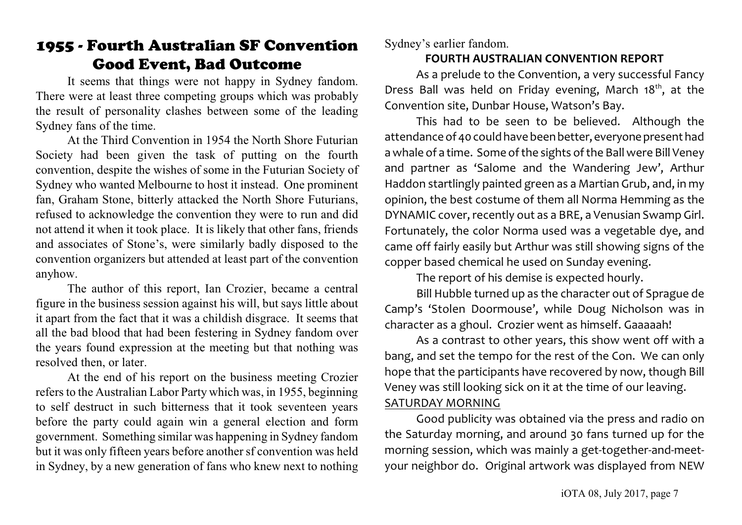## 1955 - Fourth Australian SF Convention Good Event, Bad Outcome

It seems that things were not happy in Sydney fandom. There were at least three competing groups which was probably the result of personality clashes between some of the leading Sydney fans of the time.

At the Third Convention in 1954 the North Shore Futurian Society had been given the task of putting on the fourth convention, despite the wishes of some in the Futurian Society of Sydney who wanted Melbourne to host it instead. One prominent fan, Graham Stone, bitterly attacked the North Shore Futurians, refused to acknowledge the convention they were to run and did not attend it when it took place. It is likely that other fans, friends and associates of Stone's, were similarly badly disposed to the convention organizers but attended at least part of the convention anyhow.

The author of this report, Ian Crozier, became a central figure in the business session against his will, but says little about it apart from the fact that it was a childish disgrace. It seems that all the bad blood that had been festering in Sydney fandom over the years found expression at the meeting but that nothing was resolved then, or later.

At the end of his report on the business meeting Crozier refers to the Australian Labor Party which was, in 1955, beginning to self destruct in such bitterness that it took seventeen years before the party could again win a general election and form government. Something similar was happening in Sydney fandom but it was only fifteen years before another sf convention was held in Sydney, by a new generation of fans who knew next to nothing

Sydney's earlier fandom.

#### **FOURTH AUSTRALIAN CONVENTION REPORT**

As a prelude to the Convention, a very successful Fancy Dress Ball was held on Friday evening, March 18<sup>th</sup>, at the Convention site, Dunbar House, Watson's Bay.

This had to be seen to be believed. Although the attendance of 40 could have been better, everyone present had a whale of a time. Some of the sights of the Ball were Bill Veney and partner as 'Salome and the Wandering Jew', Arthur Haddon startlingly painted green as a Martian Grub, and, in my opinion, the best costume of them all Norma Hemming as the DYNAMIC cover, recently out as a BRE, a Venusian Swamp Girl. Fortunately, the color Norma used was a vegetable dye, and came off fairly easily but Arthur was still showing signs of the copper based chemical he used on Sunday evening.

The report of his demise is expected hourly.

Bill Hubble turned up as the character out of Sprague de Camp's 'Stolen Doormouse', while Doug Nicholson was in character as a ghoul. Crozier went as himself. Gaaaaah!

As a contrast to other years, this show went off with a bang, and set the tempo for the rest of the Con. We can only hope that the participants have recovered by now, though Bill Veney was still looking sick on it at the time of our leaving. SATURDAY MORNING

Good publicity was obtained via the press and radio on the Saturday morning, and around 30 fans turned up for the morning session, which was mainly a get-together-and-meetyour neighbor do. Original artwork was displayed from NEW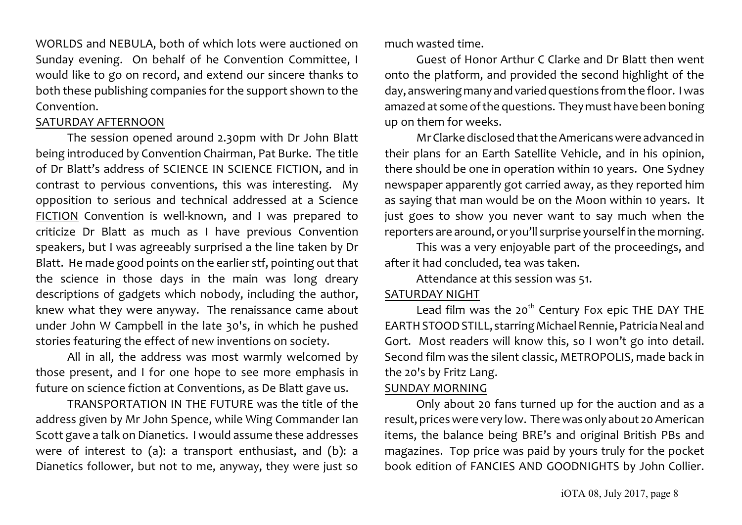WORLDS and NEBULA, both of which lots were auctioned on Sunday evening. On behalf of he Convention Committee, I would like to go on record, and extend our sincere thanks to both these publishing companies for the support shown to the Convention.

#### SATURDAY AFTERNOON

The session opened around 2.30pm with Dr John Blatt being introduced by Convention Chairman, Pat Burke. The title of Dr Blatt's address of SCIENCE IN SCIENCE FICTION, and in contrast to pervious conventions, this was interesting. My opposition to serious and technical addressed at a Science FICTION Convention is well-known, and I was prepared to criticize Dr Blatt as much as I have previous Convention speakers, but I was agreeably surprised a the line taken by Dr Blatt. He made good points on the earlier stf, pointing out that the science in those days in the main was long dreary descriptions of gadgets which nobody, including the author, knew what they were anyway. The renaissance came about under John W Campbell in the late 30's, in which he pushed stories featuring the effect of new inventions on society.

All in all, the address was most warmly welcomed by those present, and I for one hope to see more emphasis in future on science fiction at Conventions, as De Blatt gave us.

TRANSPORTATION IN THE FUTURE was the title of the address given by Mr John Spence, while Wing Commander Ian Scott gave a talk on Dianetics. I would assume these addresses were of interest to (a): a transport enthusiast, and (b): a Dianetics follower, but not to me, anyway, they were just so

much wasted time.

Guest of Honor Arthur C Clarke and Dr Blatt then went onto the platform, and provided the second highlight of the day, answering many and varied questions fromthe floor. Iwas amazed at some of the questions. They must have been boning up on them for weeks.

Mr Clarke disclosed that the Americans were advanced in their plans for an Earth Satellite Vehicle, and in his opinion, there should be one in operation within 10 years. One Sydney newspaper apparently got carried away, as they reported him as saying that man would be on the Moon within 10 years. It just goes to show you never want to say much when the reporters are around, or you'll surprise yourself in the morning.

This was a very enjoyable part of the proceedings, and after it had concluded, tea was taken.

Attendance at this session was 51.

#### SATURDAY NIGHT

Lead film was the 20<sup>th</sup> Century Fox epic THE DAY THE EARTH STOOD STILL, starring Michael Rennie, Patricia Neal and Gort. Most readers will know this, so I won't go into detail. Second film was the silent classic, METROPOLIS, made back in the 20's by Fritz Lang.

#### SUNDAY MORNING

Only about 20 fans turned up for the auction and as a result, prices were very low. There was only about 20 American items, the balance being BRE's and original British PBs and magazines. Top price was paid by yours truly for the pocket book edition of FANCIES AND GOODNIGHTS by John Collier.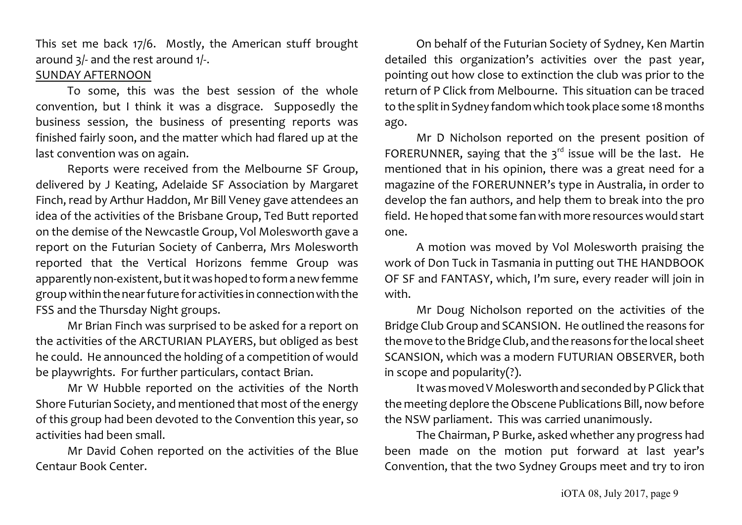This set me back 17/6. Mostly, the American stuff brought around 3/- and the rest around 1/-.

#### SUNDAY AFTERNOON

To some, this was the best session of the whole convention, but I think it was a disgrace. Supposedly the business session, the business of presenting reports was finished fairly soon, and the matter which had flared up at the last convention was on again.

Reports were received from the Melbourne SF Group, delivered by J Keating, Adelaide SF Association by Margaret Finch, read by Arthur Haddon, Mr Bill Veney gave attendees an idea of the activities of the Brisbane Group, Ted Butt reported on the demise of the Newcastle Group, Vol Molesworth gave a report on the Futurian Society of Canberra, Mrs Molesworth reported that the Vertical Horizons femme Group was apparently non-existent, but it was hoped to form a new femme group within the near future for activities in connectionwith the FSS and the Thursday Night groups.

Mr Brian Finch was surprised to be asked for a report on the activities of the ARCTURIAN PLAYERS, but obliged as best he could. He announced the holding of a competition of would be playwrights. For further particulars, contact Brian.

Mr W Hubble reported on the activities of the North Shore Futurian Society, and mentioned that most of the energy of this group had been devoted to the Convention this year, so activities had been small.

Mr David Cohen reported on the activities of the Blue Centaur Book Center.

On behalf of the Futurian Society of Sydney, Ken Martin detailed this organization's activities over the past year, pointing out how close to extinction the club was prior to the return of P Click from Melbourne. This situation can be traced to the split in Sydney fandom which took place some 18 months ago.

Mr D Nicholson reported on the present position of FORERUNNER, saying that the  $3<sup>rd</sup>$  issue will be the last. He mentioned that in his opinion, there was a great need for a magazine of the FORERUNNER's type in Australia, in order to develop the fan authors, and help them to break into the pro field. He hoped that some fan with more resources would start one.

A motion was moved by Vol Molesworth praising the work of Don Tuck in Tasmania in putting out THE HANDBOOK OF SF and FANTASY, which, I'm sure, every reader will join in with.

Mr Doug Nicholson reported on the activities of the Bridge Club Group and SCANSION. He outlined the reasons for the move to the Bridge Club, and the reasons for the local sheet SCANSION, which was a modern FUTURIAN OBSERVER, both in scope and popularity(?).

It was moved V Molesworth and seconded by P Glick that the meeting deplore the Obscene Publications Bill, now before the NSW parliament. This was carried unanimously.

The Chairman, P Burke, asked whether any progress had been made on the motion put forward at last year's Convention, that the two Sydney Groups meet and try to iron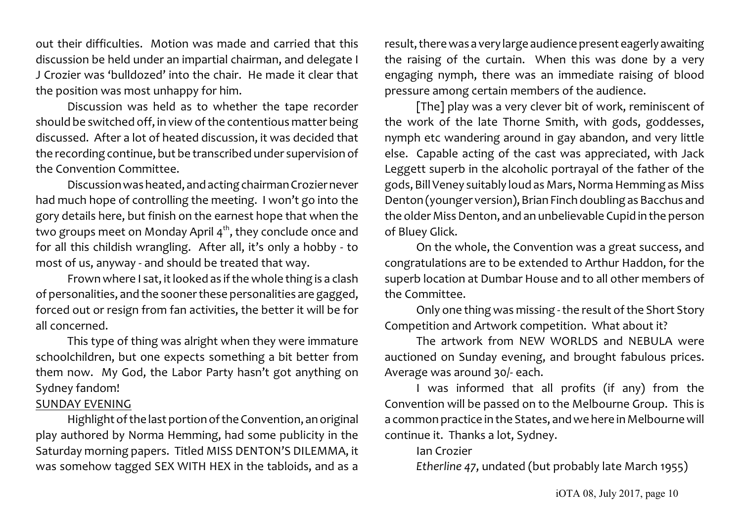out their difficulties. Motion was made and carried that this discussion be held under an impartial chairman, and delegate I J Crozier was 'bulldozed' into the chair. He made it clear that the position was most unhappy for him.

Discussion was held as to whether the tape recorder should be switched off, in view of the contentious matter being discussed. After a lot of heated discussion, it was decided that the recording continue, but be transcribed under supervision of the Convention Committee.

Discussion was heated, and acting chairman Croziernever had much hope of controlling the meeting. I won't go into the gory details here, but finish on the earnest hope that when the two groups meet on Monday April 4<sup>th</sup>, they conclude once and for all this childish wrangling. After all, it's only a hobby - to most of us, anyway - and should be treated that way.

Frown where I sat, it looked as ifthe whole thing is a clash of personalities, and the sooner these personalities are gagged, forced out or resign from fan activities, the better it will be for all concerned.

This type of thing was alright when they were immature schoolchildren, but one expects something a bit better from them now. My God, the Labor Party hasn't got anything on Sydney fandom!

#### SUNDAY EVENING

Highlight of the last portion of the Convention, an original play authored by Norma Hemming, had some publicity in the Saturday morning papers. Titled MISS DENTON'S DILEMMA, it was somehow tagged SEX WITH HEX in the tabloids, and as a

result, there was a very large audience present eagerly awaiting the raising of the curtain. When this was done by a very engaging nymph, there was an immediate raising of blood pressure among certain members of the audience.

[The] play was a very clever bit of work, reminiscent of the work of the late Thorne Smith, with gods, goddesses, nymph etc wandering around in gay abandon, and very little else. Capable acting of the cast was appreciated, with Jack Leggett superb in the alcoholic portrayal of the father of the gods, Bill Veney suitably loud as Mars, Norma Hemming as Miss Denton (younger version), Brian Finch doubling as Bacchus and the older Miss Denton, and an unbelievable Cupid in the person of Bluey Glick.

On the whole, the Convention was a great success, and congratulations are to be extended to Arthur Haddon, for the superb location at Dumbar House and to all other members of the Committee.

Only one thing was missing - the result of the Short Story Competition and Artwork competition. What about it?

The artwork from NEW WORLDS and NEBULA were auctioned on Sunday evening, and brought fabulous prices. Average was around 30/- each.

I was informed that all profits (if any) from the Convention will be passed on to the Melbourne Group. This is a common practice in the States, and we here in Melbourne will continue it. Thanks a lot, Sydney.

Ian Crozier *Etherline 47*, undated (but probably late March 1955)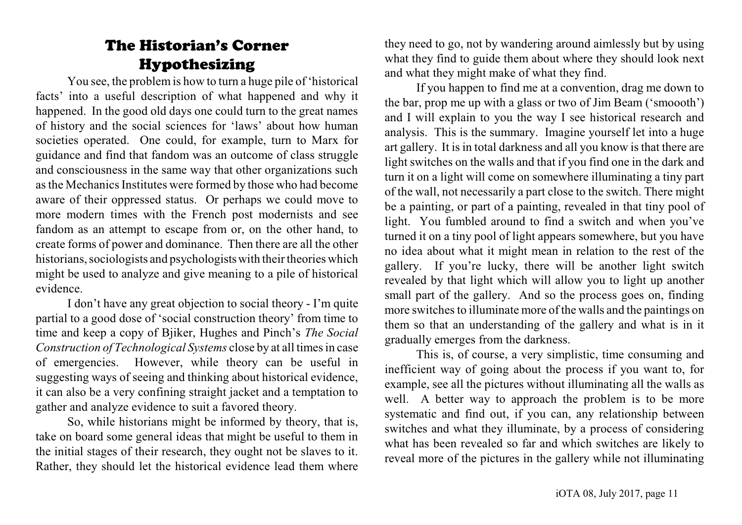# The Historian's Corner Hypothesizing

You see, the problem is how to turn a huge pile of 'historical facts' into a useful description of what happened and why it happened. In the good old days one could turn to the great names of history and the social sciences for 'laws' about how human societies operated. One could, for example, turn to Marx for guidance and find that fandom was an outcome of class struggle and consciousness in the same way that other organizations such as the Mechanics Institutes were formed by those who had become aware of their oppressed status. Or perhaps we could move to more modern times with the French post modernists and see fandom as an attempt to escape from or, on the other hand, to create forms of power and dominance. Then there are all the other historians, sociologists and psychologists with their theories which might be used to analyze and give meaning to a pile of historical evidence.

I don't have any great objection to social theory - I'm quite partial to a good dose of 'social construction theory' from time to time and keep a copy of Bjiker, Hughes and Pinch's *The Social Construction of Technological Systems* close by at all timesin case of emergencies. However, while theory can be useful in suggesting ways of seeing and thinking about historical evidence, it can also be a very confining straight jacket and a temptation to gather and analyze evidence to suit a favored theory.

So, while historians might be informed by theory, that is, take on board some general ideas that might be useful to them in the initial stages of their research, they ought not be slaves to it. Rather, they should let the historical evidence lead them where they need to go, not by wandering around aimlessly but by using what they find to guide them about where they should look next and what they might make of what they find.

If you happen to find me at a convention, drag me down to the bar, prop me up with a glass or two of Jim Beam ('smoooth') and I will explain to you the way I see historical research and analysis. This is the summary. Imagine yourself let into a huge art gallery. It is in total darkness and all you know isthat there are light switches on the walls and that if you find one in the dark and turn it on a light will come on somewhere illuminating a tiny part of the wall, not necessarily a part close to the switch. There might be a painting, or part of a painting, revealed in that tiny pool of light. You fumbled around to find a switch and when you've turned it on a tiny pool of light appears somewhere, but you have no idea about what it might mean in relation to the rest of the gallery. If you're lucky, there will be another light switch revealed by that light which will allow you to light up another small part of the gallery. And so the process goes on, finding more switches to illuminate more of the walls and the paintings on them so that an understanding of the gallery and what is in it gradually emerges from the darkness.

This is, of course, a very simplistic, time consuming and inefficient way of going about the process if you want to, for example, see all the pictures without illuminating all the walls as well. A better way to approach the problem is to be more systematic and find out, if you can, any relationship between switches and what they illuminate, by a process of considering what has been revealed so far and which switches are likely to reveal more of the pictures in the gallery while not illuminating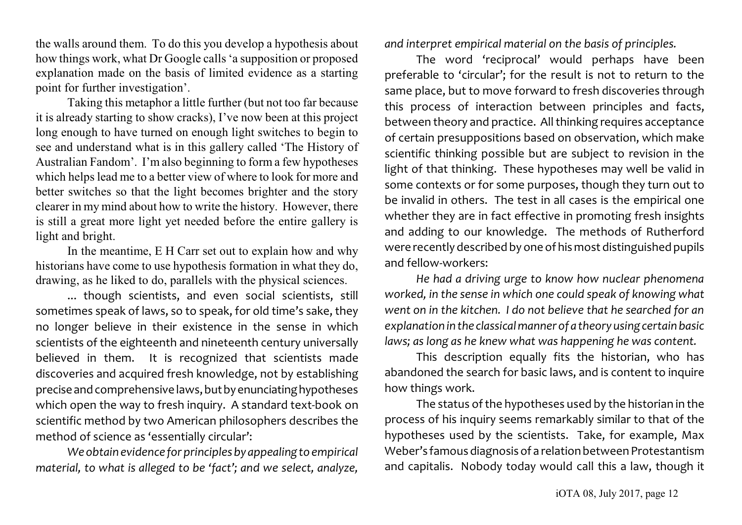the walls around them. To do this you develop a hypothesis about how things work, what Dr Google calls'a supposition or proposed explanation made on the basis of limited evidence as a starting point for further investigation'.

Taking this metaphor a little further (but not too far because it is already starting to show cracks), I've now been at this project long enough to have turned on enough light switches to begin to see and understand what is in this gallery called 'The History of Australian Fandom'. I'm also beginning to form a few hypotheses which helps lead me to a better view of where to look for more and better switches so that the light becomes brighter and the story clearer in my mind about how to write the history. However, there is still a great more light yet needed before the entire gallery is light and bright.

In the meantime, E H Carr set out to explain how and why historians have come to use hypothesis formation in what they do, drawing, as he liked to do, parallels with the physical sciences.

... though scientists, and even social scientists, still sometimes speak of laws, so to speak, for old time's sake, they no longer believe in their existence in the sense in which scientists of the eighteenth and nineteenth century universally believed in them. It is recognized that scientists made discoveries and acquired fresh knowledge, not by establishing precise and comprehensive laws, but by enunciating hypotheses which open the way to fresh inquiry. A standard text-book on scientific method by two American philosophers describes the method of science as 'essentially circular':

*Weobtain evidence forprinciples by appealingto empirical material, to what is alleged to be 'fact'; and we select, analyze,* *and interpret empirical material on the basis of principles.*

The word 'reciprocal' would perhaps have been preferable to 'circular'; for the result is not to return to the same place, but to move forward to fresh discoveries through this process of interaction between principles and facts, between theory and practice. All thinking requires acceptance of certain presuppositions based on observation, which make scientific thinking possible but are subject to revision in the light of that thinking. These hypotheses may well be valid in some contexts or for some purposes, though they turn out to be invalid in others. The test in all cases is the empirical one whether they are in fact effective in promoting fresh insights and adding to our knowledge. The methods of Rutherford were recently described by one of his most distinguished pupils and fellow-workers:

*He had a driving urge to know how nuclear phenomena worked, in the sense in which one could speak of knowing what went on in the kitchen. I do not believe that he searched for an explanation in the classical manner of a theory using certain basic laws; as long as he knew what was happening he was content.*

This description equally fits the historian, who has abandoned the search for basic laws, and is content to inquire how things work.

The status of the hypotheses used by the historian in the process of his inquiry seems remarkably similar to that of the hypotheses used by the scientists. Take, for example, Max Weber's famous diagnosis of a relation between Protestantism and capitalis. Nobody today would call this a law, though it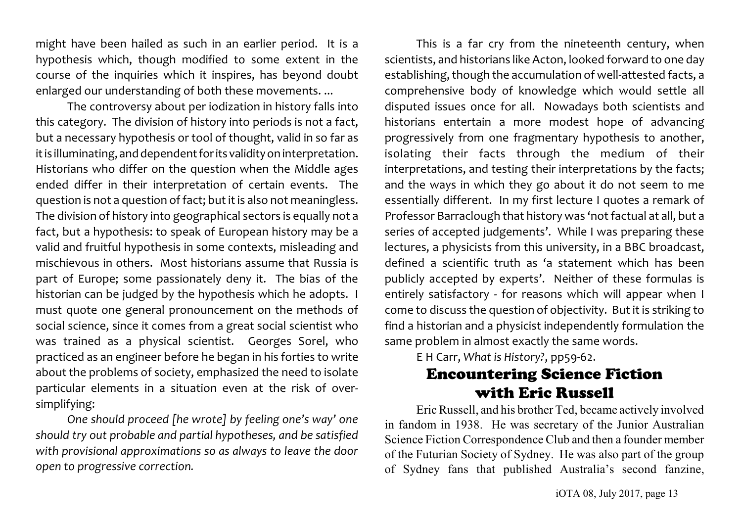might have been hailed as such in an earlier period. It is a hypothesis which, though modified to some extent in the course of the inquiries which it inspires, has beyond doubt enlarged our understanding of both these movements. ...

The controversy about per iodization in history falls into this category. The division of history into periods is not a fact, but a necessary hypothesis or tool of thought, valid in so far as it is illuminating, and dependent for its validity on interpretation. Historians who differ on the question when the Middle ages ended differ in their interpretation of certain events. The question is not a question of fact; but it is also not meaningless. The division of history into geographical sectors is equally not a fact, but a hypothesis: to speak of European history may be a valid and fruitful hypothesis in some contexts, misleading and mischievous in others. Most historians assume that Russia is part of Europe; some passionately deny it. The bias of the historian can be judged by the hypothesis which he adopts. I must quote one general pronouncement on the methods of social science, since it comes from a great social scientist who was trained as a physical scientist. Georges Sorel, who practiced as an engineer before he began in his forties to write about the problems of society, emphasized the need to isolate particular elements in a situation even at the risk of oversimplifying:

*One should proceed [he wrote] by feeling one's way' one should try out probable and partial hypotheses, and be satisfied with provisional approximations so as always to leave the door open to progressive correction.*

This is a far cry from the nineteenth century, when scientists, and historians like Acton, looked forward to one day establishing, though the accumulation of well-attested facts, a comprehensive body of knowledge which would settle all disputed issues once for all. Nowadays both scientists and historians entertain a more modest hope of advancing progressively from one fragmentary hypothesis to another, isolating their facts through the medium of their interpretations, and testing their interpretations by the facts; and the ways in which they go about it do not seem to me essentially different. In my first lecture I quotes a remark of Professor Barraclough that history was 'not factual at all, but a series of accepted judgements'. While I was preparing these lectures, a physicists from this university, in a BBC broadcast, defined a scientific truth as 'a statement which has been publicly accepted by experts'. Neither of these formulas is entirely satisfactory - for reasons which will appear when I come to discuss the question of objectivity. But it is striking to find a historian and a physicist independently formulation the same problem in almost exactly the same words.

E H Carr, *What is History?*, pp59-62.

## Encountering Science Fiction with Eric Russell

Eric Russell, and his brother Ted, became actively involved in fandom in 1938. He was secretary of the Junior Australian Science Fiction Correspondence Club and then a founder member of the Futurian Society of Sydney. He was also part of the group of Sydney fans that published Australia's second fanzine,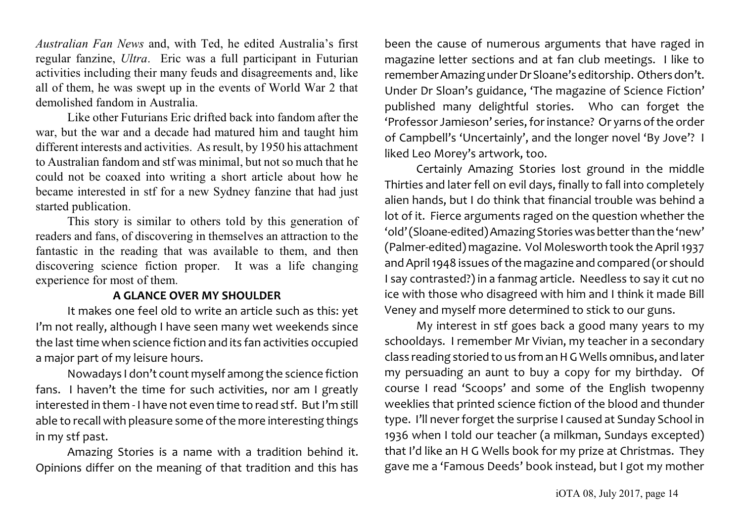*Australian Fan News* and, with Ted, he edited Australia's first regular fanzine, *Ultra*. Eric was a full participant in Futurian activities including their many feuds and disagreements and, like all of them, he was swept up in the events of World War 2 that demolished fandom in Australia.

Like other Futurians Eric drifted back into fandom after the war, but the war and a decade had matured him and taught him different interests and activities. Asresult, by 1950 his attachment to Australian fandom and stf was minimal, but not so much that he could not be coaxed into writing a short article about how he became interested in stf for a new Sydney fanzine that had just started publication.

This story is similar to others told by this generation of readers and fans, of discovering in themselves an attraction to the fantastic in the reading that was available to them, and then discovering science fiction proper. It was a life changing experience for most of them.

#### **A GLANCE OVER MY SHOULDER**

It makes one feel old to write an article such as this: yet I'm not really, although I have seen many wet weekends since the last time when science fiction and its fan activities occupied a major part of my leisure hours.

Nowadays I don't count myself among the science fiction fans. I haven't the time for such activities, nor am I greatly interested in them - I have not even time to read stf. But I'm still able to recall with pleasure some of the more interesting things in my stf past.

Amazing Stories is a name with a tradition behind it. Opinions differ on the meaning of that tradition and this has been the cause of numerous arguments that have raged in magazine letter sections and at fan club meetings. I like to remember Amazing under Dr Sloane's editorship. Others don't. Under Dr Sloan's guidance, 'The magazine of Science Fiction' published many delightful stories. Who can forget the 'Professor Jamieson' series, for instance? Or yarns of the order of Campbell's 'Uncertainly', and the longer novel 'By Jove'? I liked Leo Morey's artwork, too.

Certainly Amazing Stories lost ground in the middle Thirties and later fell on evil days, finally to fall into completely alien hands, but I do think that financial trouble was behind a lot of it. Fierce arguments raged on the question whether the 'old' (Sloane-edited) Amazing Stories was better than the 'new' (Palmer-edited) magazine. Vol Molesworth took the April 1937 and April 1948 issues of the magazine and compared (or should I say contrasted?) in a fanmag article. Needless to say it cut no ice with those who disagreed with him and I think it made Bill Veney and myself more determined to stick to our guns.

My interest in stf goes back a good many years to my schooldays. I remember Mr Vivian, my teacher in a secondary class reading storied to us from an H G Wells omnibus, and later my persuading an aunt to buy a copy for my birthday. Of course I read 'Scoops' and some of the English twopenny weeklies that printed science fiction of the blood and thunder type. I'll never forget the surprise I caused at Sunday School in 1936 when I told our teacher (a milkman, Sundays excepted) that I'd like an H G Wells book for my prize at Christmas. They gave me a 'Famous Deeds' book instead, but I got my mother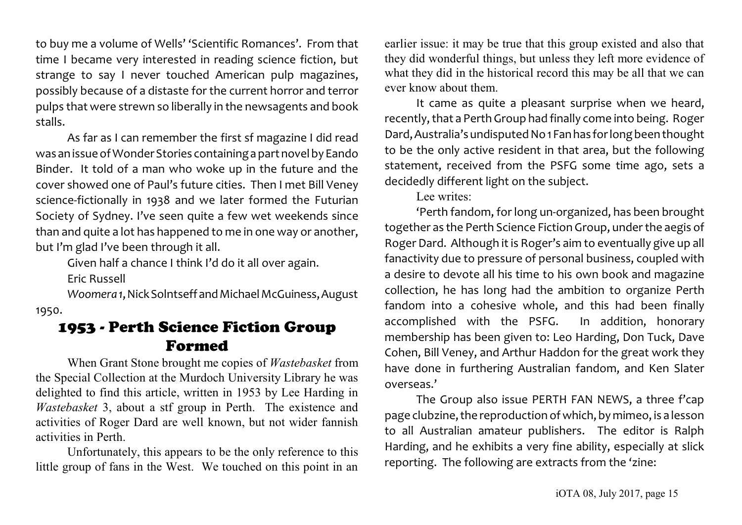to buy me a volume of Wells' 'Scientific Romances'. From that time I became very interested in reading science fiction, but strange to say I never touched American pulp magazines, possibly because of a distaste for the current horror and terror pulps that were strewn so liberally in the newsagents and book stalls.

As far as I can remember the first sf magazine I did read was an issue ofWonder Stories containing a part novel by Eando Binder. It told of a man who woke up in the future and the cover showed one of Paul's future cities. Then I met Bill Veney science-fictionally in 1938 and we later formed the Futurian Society of Sydney. I've seen quite a few wet weekends since than and quite a lot has happened to me in one way or another, but I'm glad I've been through it all.

Given half a chance I think I'd do it all over again.

Eric Russell

Woomera1, Nick Solntseff and Michael McGuiness, August 1950.

## 1953 - Perth Science Fiction Group Formed

When Grant Stone brought me copies of *Wastebasket* from the Special Collection at the Murdoch University Library he was delighted to find this article, written in 1953 by Lee Harding in *Wastebasket* 3, about a stf group in Perth. The existence and activities of Roger Dard are well known, but not wider fannish activities in Perth.

Unfortunately, this appears to be the only reference to this little group of fans in the West. We touched on this point in an earlier issue: it may be true that this group existed and also that they did wonderful things, but unless they left more evidence of what they did in the historical record this may be all that we can ever know about them.

It came as quite a pleasant surprise when we heard, recently, that a Perth Group had finally come into being. Roger Dard, Australia's undisputed No1Fanhas for long been thought to be the only active resident in that area, but the following statement, received from the PSFG some time ago, sets a decidedly different light on the subject.

### Lee writes:

'Perth fandom, for long un-organized, has been brought together as the Perth Science Fiction Group, under the aegis of Roger Dard. Although it is Roger's aim to eventually give up all fanactivity due to pressure of personal business, coupled with a desire to devote all his time to his own book and magazine collection, he has long had the ambition to organize Perth fandom into a cohesive whole, and this had been finally accomplished with the PSFG. In addition, honorary membership has been given to: Leo Harding, Don Tuck, Dave Cohen, Bill Veney, and Arthur Haddon for the great work they have done in furthering Australian fandom, and Ken Slater overseas.'

The Group also issue PERTH FAN NEWS, a three f'cap page clubzine, the reproduction ofwhich, by mimeo, is a lesson to all Australian amateur publishers. The editor is Ralph Harding, and he exhibits a very fine ability, especially at slick reporting. The following are extracts from the 'zine: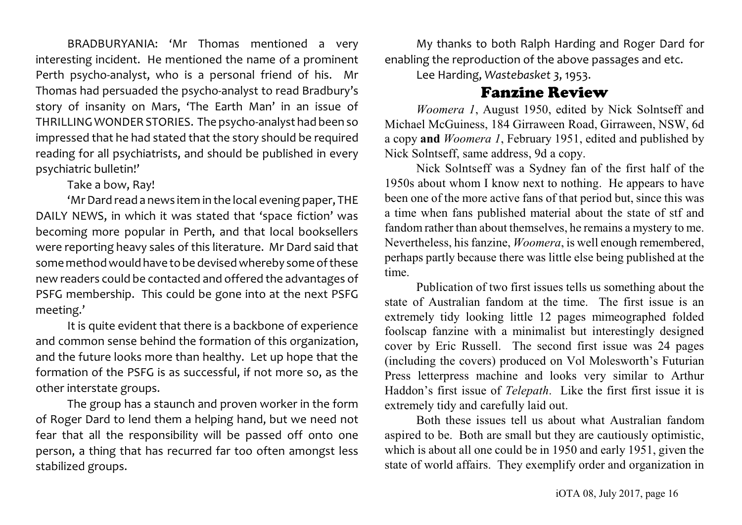BRADBURYANIA: 'Mr Thomas mentioned a very interesting incident. He mentioned the name of a prominent Perth psycho-analyst, who is a personal friend of his. Mr Thomas had persuaded the psycho-analyst to read Bradbury's story of insanity on Mars, 'The Earth Man' in an issue of THRILLINGWONDER STORIES. The psycho-analyst had been so impressed that he had stated that the story should be required reading for all psychiatrists, and should be published in every psychiatric bulletin!'

Take a bow, Ray!

'Mr Dard read a news item in the local evening paper, THE DAILY NEWS, in which it was stated that 'space fiction' was becoming more popular in Perth, and that local booksellers were reporting heavy sales of this literature. Mr Dard said that some method would have to be devised whereby some of these new readers could be contacted and offered the advantages of PSFG membership. This could be gone into at the next PSFG meeting.'

It is quite evident that there is a backbone of experience and common sense behind the formation of this organization, and the future looks more than healthy. Let up hope that the formation of the PSFG is as successful, if not more so, as the other interstate groups.

The group has a staunch and proven worker in the form of Roger Dard to lend them a helping hand, but we need not fear that all the responsibility will be passed off onto one person, a thing that has recurred far too often amongst less stabilized groups.

My thanks to both Ralph Harding and Roger Dard for enabling the reproduction of the above passages and etc.

Lee Harding, *Wastebasket 3*, 1953.

### Fanzine Review

*Woomera 1*, August 1950, edited by Nick Solntseff and Michael McGuiness, 184 Girraween Road, Girraween, NSW, 6d a copy **and** *Woomera 1*, February 1951, edited and published by Nick Solntseff, same address, 9d a copy.

Nick Solntseff was a Sydney fan of the first half of the 1950s about whom I know next to nothing. He appears to have been one of the more active fans of that period but, since this was a time when fans published material about the state of stf and fandom rather than about themselves, he remains a mystery to me. Nevertheless, his fanzine, *Woomera*, is well enough remembered, perhaps partly because there was little else being published at the time.

Publication of two first issues tells us something about the state of Australian fandom at the time. The first issue is an extremely tidy looking little 12 pages mimeographed folded foolscap fanzine with a minimalist but interestingly designed cover by Eric Russell. The second first issue was 24 pages (including the covers) produced on Vol Molesworth's Futurian Press letterpress machine and looks very similar to Arthur Haddon's first issue of *Telepath*. Like the first first issue it is extremely tidy and carefully laid out.

Both these issues tell us about what Australian fandom aspired to be. Both are small but they are cautiously optimistic, which is about all one could be in 1950 and early 1951, given the state of world affairs. They exemplify order and organization in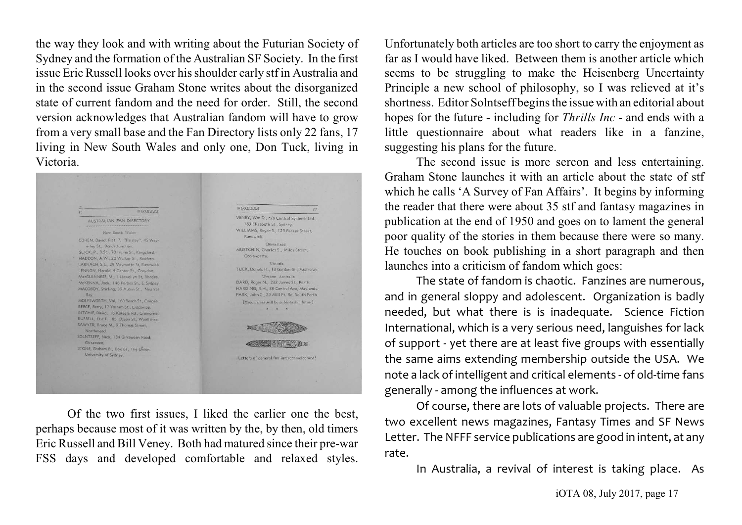the way they look and with writing about the Futurian Society of Sydney and the formation of the Australian SF Society. In the first issue Eric Russell looks over hisshoulder early stf in Australia and in the second issue Graham Stone writes about the disorganized state of current fandom and the need for order. Still, the second version acknowledges that Australian fandom will have to grow from a very small base and the Fan Directory lists only 22 fans, 17 living in New South Wales and only one, Don Tuck, living in Victoria.



Of the two first issues, I liked the earlier one the best, perhaps because most of it was written by the, by then, old timers Eric Russell and Bill Veney. Both had matured since their pre-war FSS days and developed comfortable and relaxed styles.

Unfortunately both articles are too short to carry the enjoyment as far as I would have liked. Between them is another article which seems to be struggling to make the Heisenberg Uncertainty Principle a new school of philosophy, so I was relieved at it's shortness. Editor Solntseff begins the issue with an editorial about hopes for the future - including for *Thrills Inc* - and ends with a little questionnaire about what readers like in a fanzine, suggesting his plans for the future.

The second issue is more sercon and less entertaining. Graham Stone launches it with an article about the state of stf which he calls 'A Survey of Fan Affairs'. It begins by informing the reader that there were about 35 stf and fantasy magazines in publication at the end of 1950 and goes on to lament the general poor quality of the stories in them because there were so many. He touches on book publishing in a short paragraph and then launches into a criticism of fandom which goes:

The state of fandom is chaotic. Fanzines are numerous, and in general sloppy and adolescent. Organization is badly needed, but what there is is inadequate. Science Fiction International, which is a very serious need, languishes for lack of support - yet there are at least five groups with essentially the same aims extending membership outside the USA. We note a lack of intelligent and critical elements - of old-time fans generally - among the influences at work.

Of course, there are lots of valuable projects. There are two excellent news magazines, Fantasy Times and SF News Letter. The NFFF service publications are good in intent, at any rate.

In Australia, a revival of interest is taking place. As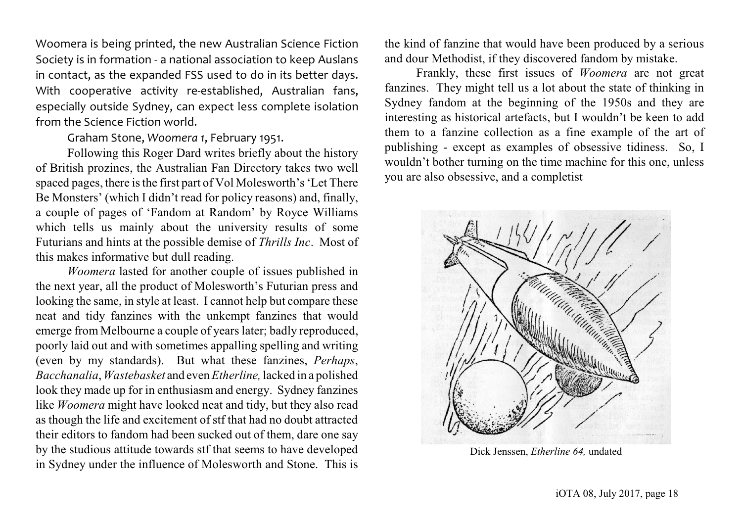Woomera is being printed, the new Australian Science Fiction Society is in formation - a national association to keep Auslans in contact, as the expanded FSS used to do in its better days. With cooperative activity re-established, Australian fans, especially outside Sydney, can expect less complete isolation from the Science Fiction world.

Graham Stone, *Woomera 1*, February 1951.

Following this Roger Dard writes briefly about the history of British prozines, the Australian Fan Directory takes two well spaced pages, there is the first part of Vol Molesworth's 'Let There Be Monsters' (which I didn't read for policy reasons) and, finally, a couple of pages of 'Fandom at Random' by Royce Williams which tells us mainly about the university results of some Futurians and hints at the possible demise of *Thrills Inc*. Most of this makes informative but dull reading.

*Woomera* lasted for another couple of issues published in the next year, all the product of Molesworth's Futurian press and looking the same, in style at least. I cannot help but compare these neat and tidy fanzines with the unkempt fanzines that would emerge from Melbourne a couple of years later; badly reproduced, poorly laid out and with sometimes appalling spelling and writing (even by my standards). But what these fanzines, *Perhaps*, *Bacchanalia*, *Wastebasket* and even *Etherline,* lacked in a polished look they made up for in enthusiasm and energy. Sydney fanzines like *Woomera* might have looked neat and tidy, but they also read as though the life and excitement of stf that had no doubt attracted their editors to fandom had been sucked out of them, dare one say by the studious attitude towards stf that seems to have developed in Sydney under the influence of Molesworth and Stone. This is

the kind of fanzine that would have been produced by a serious and dour Methodist, if they discovered fandom by mistake.

Frankly, these first issues of *Woomera* are not great fanzines. They might tell us a lot about the state of thinking in Sydney fandom at the beginning of the 1950s and they are interesting as historical artefacts, but I wouldn't be keen to add them to a fanzine collection as a fine example of the art of publishing - except as examples of obsessive tidiness. So, I wouldn't bother turning on the time machine for this one, unless you are also obsessive, and a completist



Dick Jenssen, *Etherline 64,* undated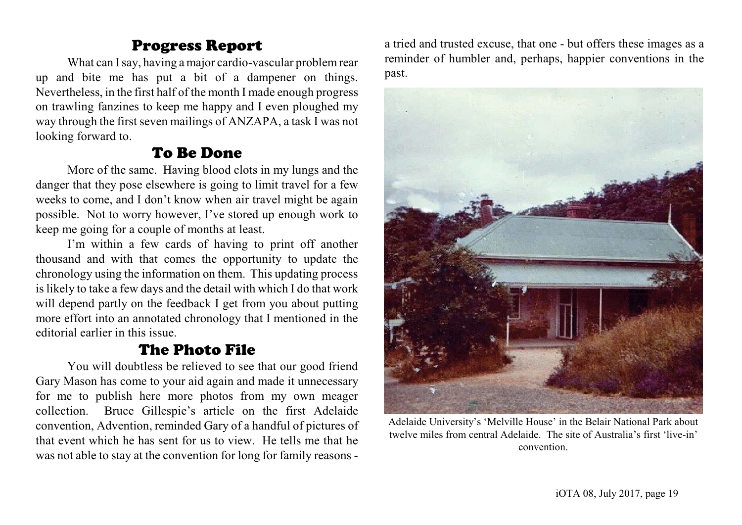## Progress Report

What can I say, having a major cardio-vascular problemrear up and bite me has put a bit of a dampener on things. Nevertheless, in the first half of the month I made enough progress on trawling fanzines to keep me happy and I even ploughed my way through the first seven mailings of ANZAPA, a task I was not looking forward to.

### To Be Done

More of the same. Having blood clots in my lungs and the danger that they pose elsewhere is going to limit travel for a few weeks to come, and I don't know when air travel might be again possible. Not to worry however, I've stored up enough work to keep me going for a couple of months at least.

I'm within a few cards of having to print off another thousand and with that comes the opportunity to update the chronology using the information on them. This updating process is likely to take a few days and the detail with which I do that work will depend partly on the feedback I get from you about putting more effort into an annotated chronology that I mentioned in the editorial earlier in this issue.

### The Photo File

You will doubtless be relieved to see that our good friend Gary Mason has come to your aid again and made it unnecessary for me to publish here more photos from my own meager collection. Bruce Gillespie's article on the first Adelaide convention, Advention, reminded Gary of a handful of pictures of that event which he has sent for us to view. He tells me that he was not able to stay at the convention for long for family reasons -

a tried and trusted excuse, that one - but offers these images as a reminder of humbler and, perhaps, happier conventions in the past.



Adelaide University's 'Melville House' in the Belair National Park about twelve miles from central Adelaide. The site of Australia's first 'live-in' convention.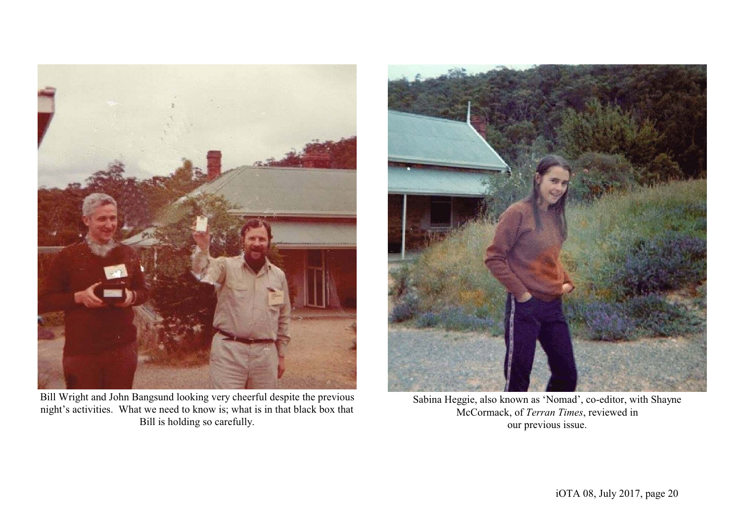

Bill Wright and John Bangsund looking very cheerful despite the previous night's activities. What we need to know is; what is in that black box that Bill is holding so carefully.



Sabina Heggie, also known as 'Nomad', co-editor, with Shayne McCormack, of *Terran Times*, reviewed in our previous issue.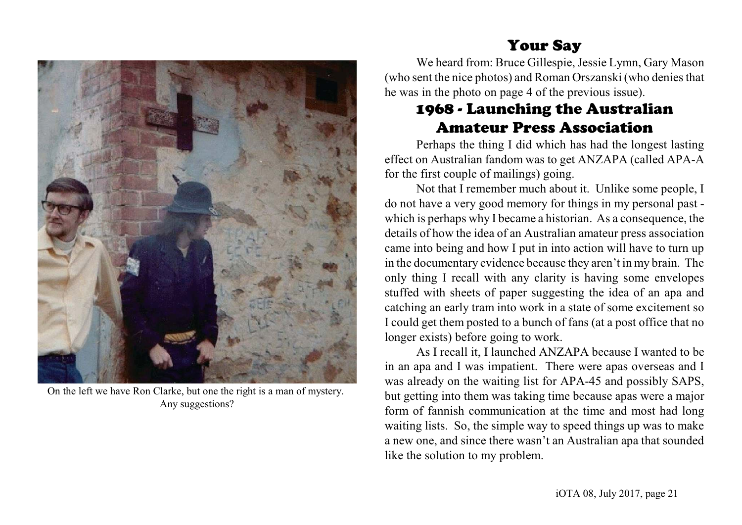

On the left we have Ron Clarke, but one the right is a man of mystery. Any suggestions?

# Your Say

We heard from: Bruce Gillespie, Jessie Lymn, Gary Mason (who sent the nice photos) and Roman Orszanski (who deniesthat he was in the photo on page 4 of the previous issue).

## 1968 - Launching the Australian Amateur Press Association

Perhaps the thing I did which has had the longest lasting effect on Australian fandom was to get ANZAPA (called APA-A for the first couple of mailings) going.

Not that I remember much about it. Unlike some people, I do not have a very good memory for things in my personal past which is perhaps why I became a historian. As a consequence, the details of how the idea of an Australian amateur press association came into being and how I put in into action will have to turn up in the documentary evidence because they aren't in my brain. The only thing I recall with any clarity is having some envelopes stuffed with sheets of paper suggesting the idea of an apa and catching an early tram into work in a state of some excitement so I could get them posted to a bunch of fans (at a post office that no longer exists) before going to work.

As I recall it, I launched ANZAPA because I wanted to be in an apa and I was impatient. There were apas overseas and I was already on the waiting list for APA-45 and possibly SAPS, but getting into them was taking time because apas were a major form of fannish communication at the time and most had long waiting lists. So, the simple way to speed things up was to make a new one, and since there wasn't an Australian apa that sounded like the solution to my problem.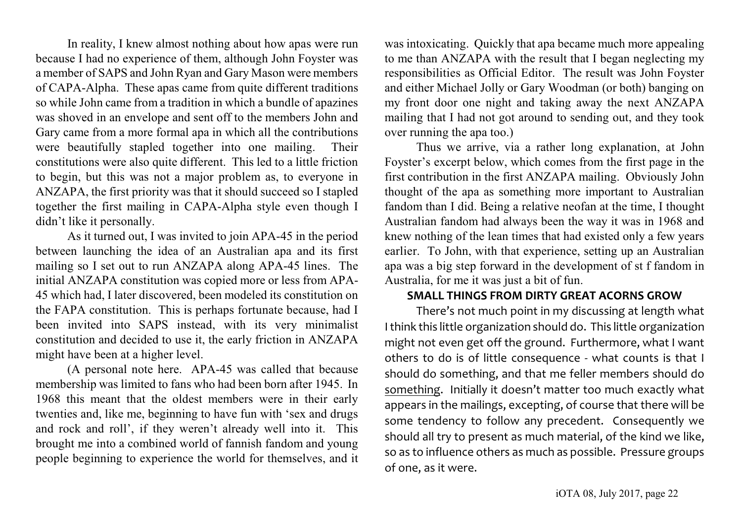In reality, I knew almost nothing about how apas were run because I had no experience of them, although John Foyster was a member of SAPS and John Ryan and Gary Mason were members of CAPA-Alpha. These apas came from quite different traditions so while John came from a tradition in which a bundle of apazines was shoved in an envelope and sent off to the members John and Gary came from a more formal apa in which all the contributions were beautifully stapled together into one mailing. Their constitutions were also quite different. This led to a little friction to begin, but this was not a major problem as, to everyone in ANZAPA, the first priority was that it should succeed so I stapled together the first mailing in CAPA-Alpha style even though I didn't like it personally.

As it turned out, I was invited to join APA-45 in the period between launching the idea of an Australian apa and its first mailing so I set out to run ANZAPA along APA-45 lines. The initial ANZAPA constitution was copied more or less from APA-45 which had, I later discovered, been modeled its constitution on the FAPA constitution. This is perhaps fortunate because, had I been invited into SAPS instead, with its very minimalist constitution and decided to use it, the early friction in ANZAPA might have been at a higher level.

(A personal note here. APA-45 was called that because membership was limited to fans who had been born after 1945. In 1968 this meant that the oldest members were in their early twenties and, like me, beginning to have fun with 'sex and drugs and rock and roll', if they weren't already well into it. This brought me into a combined world of fannish fandom and young people beginning to experience the world for themselves, and it

was intoxicating. Quickly that apa became much more appealing to me than ANZAPA with the result that I began neglecting my responsibilities as Official Editor. The result was John Foyster and either Michael Jolly or Gary Woodman (or both) banging on my front door one night and taking away the next ANZAPA mailing that I had not got around to sending out, and they took over running the apa too.)

Thus we arrive, via a rather long explanation, at John Foyster's excerpt below, which comes from the first page in the first contribution in the first ANZAPA mailing. Obviously John thought of the apa as something more important to Australian fandom than I did. Being a relative neofan at the time, I thought Australian fandom had always been the way it was in 1968 and knew nothing of the lean times that had existed only a few years earlier. To John, with that experience, setting up an Australian apa was a big step forward in the development of st f fandom in Australia, for me it was just a bit of fun.

#### **SMALL THINGS FROM DIRTY GREAT ACORNS GROW**

There's not much point in my discussing at length what I think this little organization should do. This little organization might not even get off the ground. Furthermore, what I want others to do is of little consequence - what counts is that I should do something, and that me feller members should do something. Initially it doesn't matter too much exactly what appears in the mailings, excepting, of course that there will be some tendency to follow any precedent. Consequently we should all try to present as much material, of the kind we like, so as to influence others as much as possible. Pressure groups of one, as it were.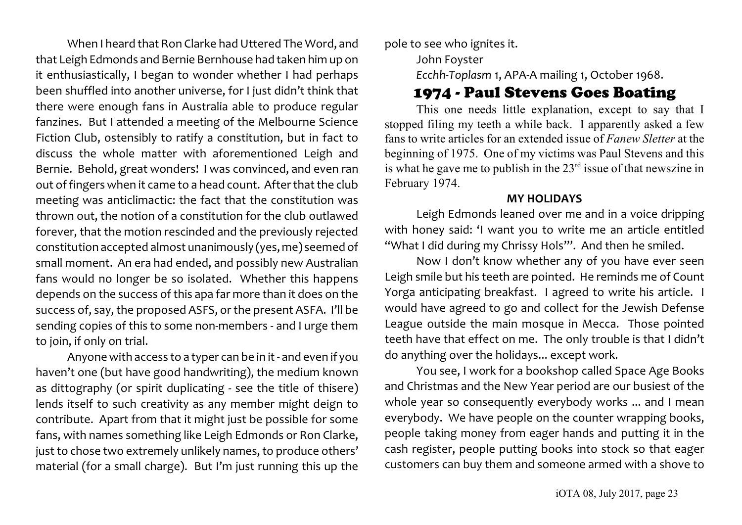When I heard that Ron Clarke had Uttered The Word, and that Leigh Edmonds and Bernie Bernhouse had taken him up on it enthusiastically, I began to wonder whether I had perhaps been shuffled into another universe, for I just didn't think that there were enough fans in Australia able to produce regular fanzines. But I attended a meeting of the Melbourne Science Fiction Club, ostensibly to ratify a constitution, but in fact to discuss the whole matter with aforementioned Leigh and Bernie. Behold, great wonders! I was convinced, and even ran out of fingers when it came to a head count. After that the club meeting was anticlimactic: the fact that the constitution was thrown out, the notion of a constitution for the club outlawed forever, that the motion rescinded and the previously rejected constitution accepted almost unanimously (yes, me) seemed of small moment. An era had ended, and possibly new Australian fans would no longer be so isolated. Whether this happens depends on the success of this apa far more than it does on the success of, say, the proposed ASFS, or the present ASFA. I'll be sending copies of this to some non-members - and I urge them to join, if only on trial.

Anyone with access to a typer can be in it - and even if you haven't one (but have good handwriting), the medium known as dittography (or spirit duplicating - see the title of thisere) lends itself to such creativity as any member might deign to contribute. Apart from that it might just be possible for some fans, with names something like Leigh Edmonds or Ron Clarke, just to chose two extremely unlikely names, to produce others' material (for a small charge). But I'm just running this up the

pole to see who ignites it.

John Foyster

*Ecchh-Toplasm* 1, APA-A mailing 1, October 1968.

### 1974 - Paul Stevens Goes Boating

This one needs little explanation, except to say that I stopped filing my teeth a while back. I apparently asked a few fans to write articles for an extended issue of *Fanew Sletter* at the beginning of 1975. One of my victims was Paul Stevens and this is what he gave me to publish in the  $23<sup>rd</sup>$  issue of that newszine in February 1974.

#### **MY HOLIDAYS**

Leigh Edmonds leaned over me and in a voice dripping with honey said: 'I want you to write me an article entitled "What I did during my Chrissy Hols"". And then he smiled.

Now I don't know whether any of you have ever seen Leigh smile but his teeth are pointed. He reminds me of Count Yorga anticipating breakfast. I agreed to write his article. I would have agreed to go and collect for the Jewish Defense League outside the main mosque in Mecca. Those pointed teeth have that effect on me. The only trouble is that I didn't do anything over the holidays... except work.

You see, I work for a bookshop called Space Age Books and Christmas and the New Year period are our busiest of the whole year so consequently everybody works ... and I mean everybody. We have people on the counter wrapping books, people taking money from eager hands and putting it in the cash register, people putting books into stock so that eager customers can buy them and someone armed with a shove to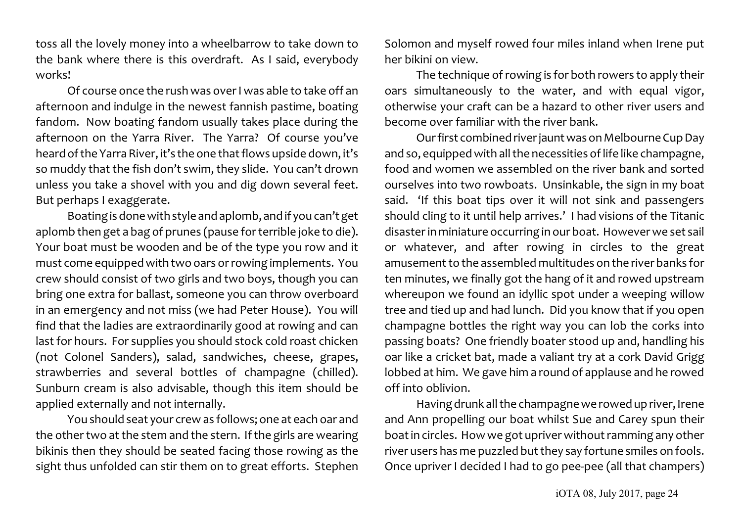toss all the lovely money into a wheelbarrow to take down to the bank where there is this overdraft. As I said, everybody works!

Of course once the rush was over Iwas able to take off an afternoon and indulge in the newest fannish pastime, boating fandom. Now boating fandom usually takes place during the afternoon on the Yarra River. The Yarra? Of course you've heard of the Yarra River, it's the one that flows upside down, it's so muddy that the fish don't swim, they slide. You can't drown unless you take a shovel with you and dig down several feet. But perhaps I exaggerate.

Boating is done with style and aplomb, and if youcan't get aplomb then get a bag of prunes (pause for terrible joke to die). Your boat must be wooden and be of the type you row and it must come equipped with two oars or rowing implements. You crew should consist of two girls and two boys, though you can bring one extra for ballast, someone you can throw overboard in an emergency and not miss (we had Peter House). You will find that the ladies are extraordinarily good at rowing and can last for hours. For supplies you should stock cold roast chicken (not Colonel Sanders), salad, sandwiches, cheese, grapes, strawberries and several bottles of champagne (chilled). Sunburn cream is also advisable, though this item should be applied externally and not internally.

You should seat your crew as follows; one at each oar and the other two at the stem and the stern. If the girls are wearing bikinis then they should be seated facing those rowing as the sight thus unfolded can stir them on to great efforts. Stephen Solomon and myself rowed four miles inland when Irene put her bikini on view.

The technique ofrowing is for both rowers to apply their oars simultaneously to the water, and with equal vigor, otherwise your craft can be a hazard to other river users and become over familiar with the river bank.

Our first combined river jaunt was on Melbourne Cup Day and so, equipped with all the necessities of life like champagne, food and women we assembled on the river bank and sorted ourselves into two rowboats. Unsinkable, the sign in my boat said. 'If this boat tips over it will not sink and passengers should cling to it until help arrives.' I had visions of the Titanic disaster in miniature occurring in our boat. However we set sail or whatever, and after rowing in circles to the great amusement to the assembled multitudes on the river banks for ten minutes, we finally got the hang of it and rowed upstream whereupon we found an idyllic spot under a weeping willow tree and tied up and had lunch. Did you know that if you open champagne bottles the right way you can lob the corks into passing boats? One friendly boater stood up and, handling his oar like a cricket bat, made a valiant try at a cork David Grigg lobbed at him. We gave him a round of applause and he rowed off into oblivion.

Having drunk all the champagne we rowed up river, Irene and Ann propelling our boat whilst Sue and Carey spun their boat in circles. Howwe got upriver without ramming any other river users has me puzzled but they say fortune smiles on fools. Once upriver I decided I had to go pee-pee (all that champers)